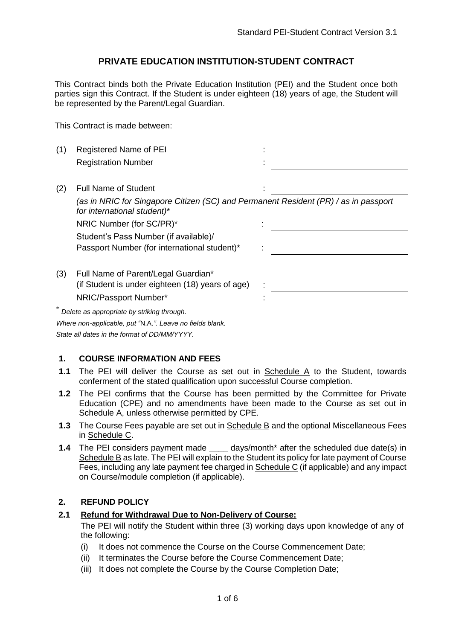### **PRIVATE EDUCATION INSTITUTION-STUDENT CONTRACT**

This Contract binds both the Private Education Institution (PEI) and the Student once both parties sign this Contract. If the Student is under eighteen (18) years of age, the Student will be represented by the Parent/Legal Guardian.

This Contract is made between:

| (1) | Registered Name of PEI                                                                                             |  |
|-----|--------------------------------------------------------------------------------------------------------------------|--|
|     | <b>Registration Number</b>                                                                                         |  |
| (2) | <b>Full Name of Student</b>                                                                                        |  |
|     | (as in NRIC for Singapore Citizen (SC) and Permanent Resident (PR) / as in passport<br>for international student)* |  |
|     | NRIC Number (for SC/PR)*                                                                                           |  |
|     | Student's Pass Number (if available)/                                                                              |  |
|     | Passport Number (for international student)*                                                                       |  |
| (3) | Full Name of Parent/Legal Guardian*                                                                                |  |
|     | (if Student is under eighteen (18) years of age)                                                                   |  |
|     | NRIC/Passport Number*                                                                                              |  |
|     | Delete as appropriate by striking through.                                                                         |  |
|     | Where non-applicable, put "N.A.". Leave no fields blank.                                                           |  |

*State all dates in the format of DD/MM/YYYY.*

#### **1. COURSE INFORMATION AND FEES**

- **1.1** The PEI will deliver the Course as set out in Schedule A to the Student, towards conferment of the stated qualification upon successful Course completion.
- **1.2** The PEI confirms that the Course has been permitted by the Committee for Private Education (CPE) and no amendments have been made to the Course as set out in Schedule A, unless otherwise permitted by CPE.
- **1.3** The Course Fees payable are set out in Schedule B and the optional Miscellaneous Fees in Schedule C.
- **1.4** The PEI considers payment made \_\_\_\_ days/month\* after the scheduled due date(s) in Schedule B as late. The PEI will explain to the Student its policy for late payment of Course Fees, including any late payment fee charged in Schedule C (if applicable) and any impact on Course/module completion (if applicable).

#### **2. REFUND POLICY**

#### **2.1 Refund for Withdrawal Due to Non-Delivery of Course:**

The PEI will notify the Student within three (3) working days upon knowledge of any of the following:

- (i) It does not commence the Course on the Course Commencement Date;
- (ii) It terminates the Course before the Course Commencement Date;
- (iii) It does not complete the Course by the Course Completion Date;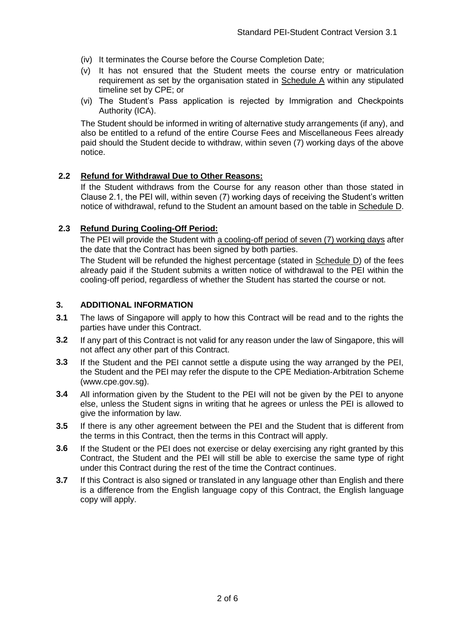- (iv) It terminates the Course before the Course Completion Date;
- (v) It has not ensured that the Student meets the course entry or matriculation requirement as set by the organisation stated in Schedule A within any stipulated timeline set by CPE; or
- (vi) The Student's Pass application is rejected by Immigration and Checkpoints Authority (ICA).

The Student should be informed in writing of alternative study arrangements (if any), and also be entitled to a refund of the entire Course Fees and Miscellaneous Fees already paid should the Student decide to withdraw, within seven (7) working days of the above notice.

#### **2.2 Refund for Withdrawal Due to Other Reasons:**

If the Student withdraws from the Course for any reason other than those stated in Clause 2.1, the PEI will, within seven (7) working days of receiving the Student's written notice of withdrawal, refund to the Student an amount based on the table in Schedule D.

#### **2.3 Refund During Cooling-Off Period:**

The PEI will provide the Student with a cooling-off period of seven (7) working days after the date that the Contract has been signed by both parties.

The Student will be refunded the highest percentage (stated in Schedule D) of the fees already paid if the Student submits a written notice of withdrawal to the PEI within the cooling-off period, regardless of whether the Student has started the course or not.

#### **3. ADDITIONAL INFORMATION**

- **3.1** The laws of Singapore will apply to how this Contract will be read and to the rights the parties have under this Contract.
- **3.2** If any part of this Contract is not valid for any reason under the law of Singapore, this will not affect any other part of this Contract.
- **3.3** If the Student and the PEI cannot settle a dispute using the way arranged by the PEI, the Student and the PEI may refer the dispute to the CPE Mediation-Arbitration Scheme (www.cpe.gov.sg).
- **3.4** All information given by the Student to the PEI will not be given by the PEI to anyone else, unless the Student signs in writing that he agrees or unless the PEI is allowed to give the information by law.
- **3.5** If there is any other agreement between the PEI and the Student that is different from the terms in this Contract, then the terms in this Contract will apply.
- **3.6** If the Student or the PEI does not exercise or delay exercising any right granted by this Contract, the Student and the PEI will still be able to exercise the same type of right under this Contract during the rest of the time the Contract continues.
- **3.7** If this Contract is also signed or translated in any language other than English and there is a difference from the English language copy of this Contract, the English language copy will apply.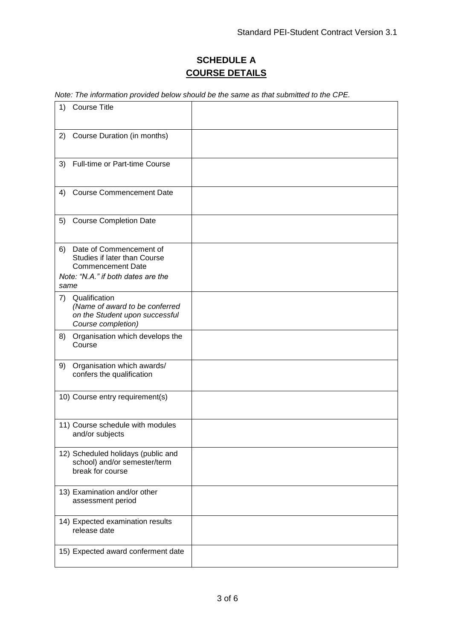# **SCHEDULE A COURSE DETAILS**

*Note: The information provided below should be the same as that submitted to the CPE.* 

| <b>Course Title</b><br>1)                                                                                                               |  |
|-----------------------------------------------------------------------------------------------------------------------------------------|--|
| Course Duration (in months)<br>2)                                                                                                       |  |
| Full-time or Part-time Course<br>3)                                                                                                     |  |
| <b>Course Commencement Date</b><br>4)                                                                                                   |  |
| 5)<br><b>Course Completion Date</b>                                                                                                     |  |
| Date of Commencement of<br>6)<br>Studies if later than Course<br><b>Commencement Date</b><br>Note: "N.A." if both dates are the<br>same |  |
| Qualification<br>7)<br>(Name of award to be conferred<br>on the Student upon successful<br>Course completion)                           |  |
| Organisation which develops the<br>8)<br>Course                                                                                         |  |
| Organisation which awards/<br>9)<br>confers the qualification                                                                           |  |
| 10) Course entry requirement(s)                                                                                                         |  |
| 11) Course schedule with modules<br>and/or subjects                                                                                     |  |
| 12) Scheduled holidays (public and<br>school) and/or semester/term<br>break for course                                                  |  |
| 13) Examination and/or other<br>assessment period                                                                                       |  |
| 14) Expected examination results<br>release date                                                                                        |  |
| 15) Expected award conferment date                                                                                                      |  |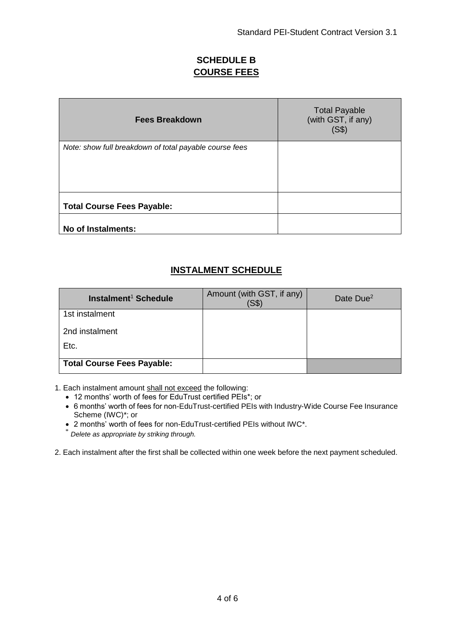## **SCHEDULE B COURSE FEES**

| <b>Fees Breakdown</b>                                  | <b>Total Payable</b><br>(with GST, if any)<br>(S\$) |
|--------------------------------------------------------|-----------------------------------------------------|
| Note: show full breakdown of total payable course fees |                                                     |
| <b>Total Course Fees Payable:</b>                      |                                                     |
| No of Instalments:                                     |                                                     |

# **INSTALMENT SCHEDULE**

| Instalment <sup>1</sup> Schedule  | Amount (with GST, if any)<br>$($ S\$) | Date Due <sup>2</sup> |
|-----------------------------------|---------------------------------------|-----------------------|
| 1st instalment                    |                                       |                       |
| 2nd instalment                    |                                       |                       |
| Etc.                              |                                       |                       |
| <b>Total Course Fees Payable:</b> |                                       |                       |

1. Each instalment amount shall not exceed the following:

- 12 months' worth of fees for EduTrust certified PEIs\*; or
- 6 months' worth of fees for non-EduTrust-certified PEIs with Industry-Wide Course Fee Insurance Scheme (IWC)\*; or

2 months' worth of fees for non-EduTrust-certified PEIs without IWC\*.

\* *Delete as appropriate by striking through.*

2. Each instalment after the first shall be collected within one week before the next payment scheduled.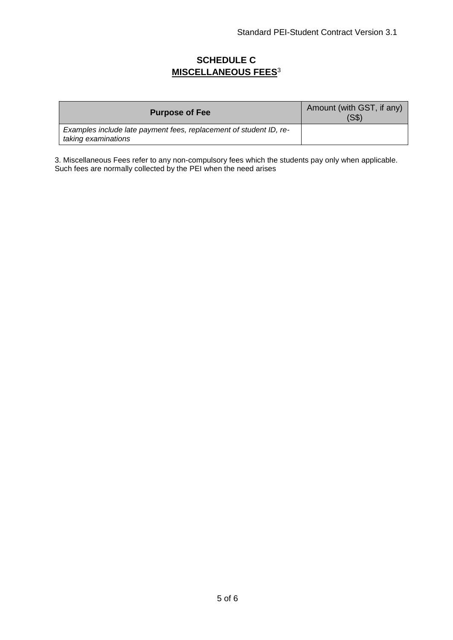## **SCHEDULE C MISCELLANEOUS FEES**<sup>3</sup>

| <b>Purpose of Fee</b>                                                                     | Amount (with GST, if any)<br>(S\$) |
|-------------------------------------------------------------------------------------------|------------------------------------|
| Examples include late payment fees, replacement of student ID, re-<br>taking examinations |                                    |

3. Miscellaneous Fees refer to any non-compulsory fees which the students pay only when applicable. Such fees are normally collected by the PEI when the need arises